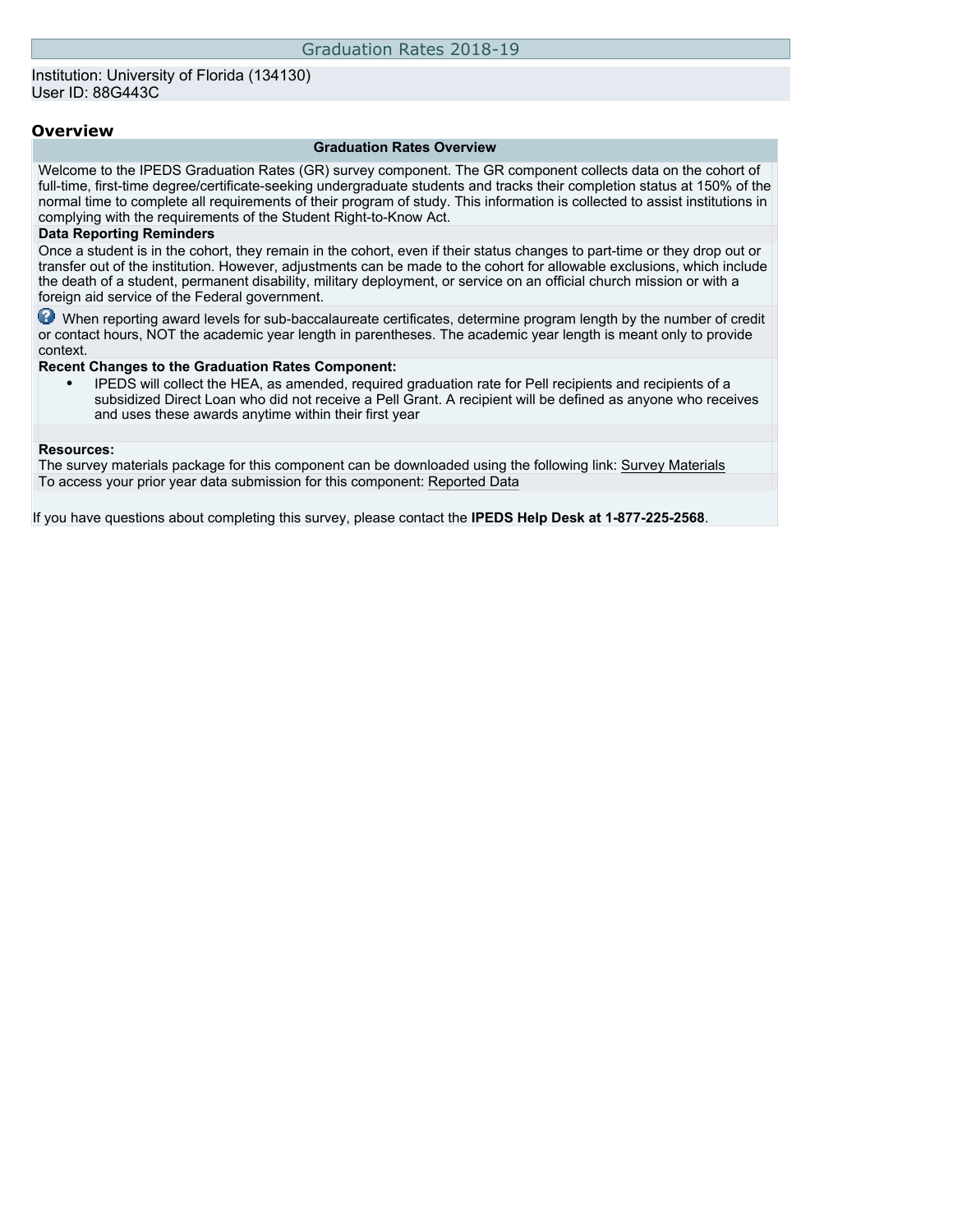## **Overview**

#### **Graduation Rates Overview**

Welcome to the IPEDS Graduation Rates (GR) survey component. The GR component collects data on the cohort of full-time, first-time degree/certificate-seeking undergraduate students and tracks their completion status at 150% of the normal time to complete all requirements of their program of study. This information is collected to assist institutions in complying with the requirements of the Student Right-to-Know Act.

### **Data Reporting Reminders**

Once a student is in the cohort, they remain in the cohort, even if their status changes to part-time or they drop out or transfer out of the institution. However, adjustments can be made to the cohort for allowable exclusions, which include the death of a student, permanent disability, military deployment, or service on an official church mission or with a foreign aid service of the Federal government.

When reporting award levels for sub-baccalaureate certificates, determine program length by the number of credit or contact hours, NOT the academic year length in parentheses. The academic year length is meant only to provide context.

### **Recent Changes to the Graduation Rates Component:**

• IPEDS will collect the HEA, as amended, required graduation rate for Pell recipients and recipients of a subsidized Direct Loan who did not receive a Pell Grant. A recipient will be defined as anyone who receives and uses these awards anytime within their first year

### **Resources:**

The survey materials package for this component can be downloaded using the following link: [Survey Materials](https://surveys.nces.ed.gov/ipeds/VisIndex.aspx) To access your prior year data submission for this component: [Reported Data](http://192.168.102.153/ipeds/PriorYearDataRedirect.aspx?survey_id=4)

If you have questions about completing this survey, please contact the **IPEDS Help Desk at 1-877-225-2568**.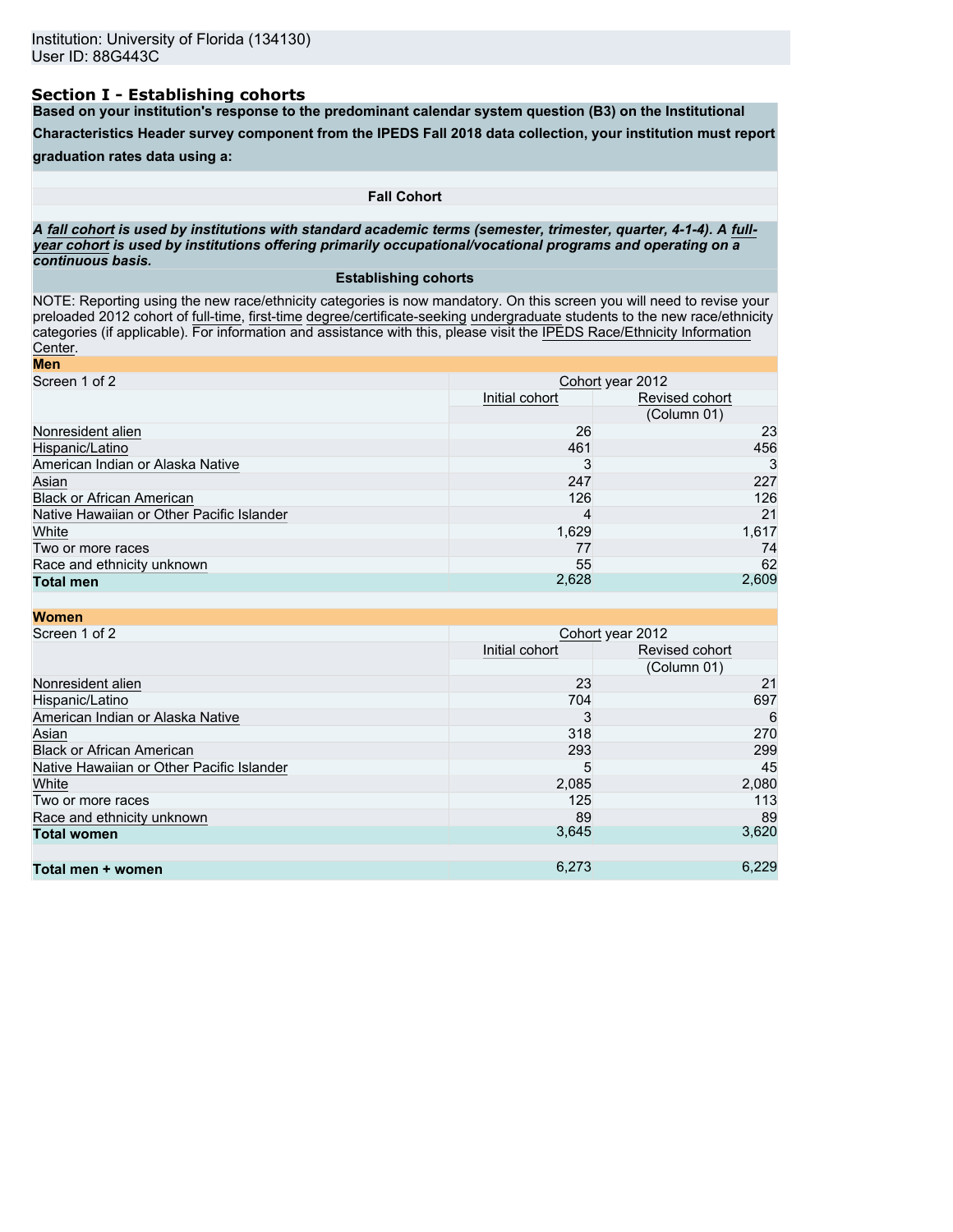# **Section I - Establishing cohorts**

**Based on your institution's response to the predominant calendar system question (B3) on the Institutional**

**Characteristics Header survey component from the IPEDS Fall 2018 data collection, your institution must report**

## **graduation rates data using a:**

## **Fall Cohort**

*A* **fall cohort** *is used by institutions with standard academic terms (semester, trimester, quarter, 4-1-4). A* **fullyear cohort** *is used by institutions offering primarily occupational/vocational programs and operating on a continuous basis.*

### **Establishing cohorts**

NOTE: Reporting using the new race/ethnicity categories is now mandatory. On this screen you will need to revise your preloaded 2012 cohort of full-time, first-time degree/certificate-seeking undergraduate students to the new race/ethnicity categories (if applicable). For information and assistance with this, please visit the [IPEDS Race/Ethnicity Information](https://nces.ed.gov/ipeds/report-your-data/resource-center-race-ethnicity) [Center](https://nces.ed.gov/ipeds/report-your-data/resource-center-race-ethnicity).

| Cohort year 2012 |                |  |
|------------------|----------------|--|
| Initial cohort   | Revised cohort |  |
|                  | (Column 01)    |  |
| 26               | 23             |  |
| 461              | 456            |  |
| 3                | 3              |  |
| 247              | 227            |  |
| 126              | 126            |  |
|                  | 21             |  |
| 1,629            | 1,617          |  |
| 77               | 74             |  |
| 55               | 62             |  |
|                  | 2,609          |  |
|                  | 2,628          |  |

| <b>Women</b>                              |                  |                |  |  |
|-------------------------------------------|------------------|----------------|--|--|
| Screen 1 of 2                             | Cohort year 2012 |                |  |  |
|                                           | Initial cohort   | Revised cohort |  |  |
|                                           |                  | (Column 01)    |  |  |
| Nonresident alien                         | 23               | 21             |  |  |
| Hispanic/Latino                           | 704              | 697            |  |  |
| American Indian or Alaska Native          | 3                | 6              |  |  |
| Asian                                     | 318              | 270            |  |  |
| <b>Black or African American</b>          | 293              | 299            |  |  |
| Native Hawaiian or Other Pacific Islander | 5                | 45             |  |  |
| White                                     | 2,085            | 2,080          |  |  |
| Two or more races                         | 125              | 113            |  |  |
| Race and ethnicity unknown                | 89               | 89             |  |  |
| <b>Total women</b>                        | 3,645            | 3,620          |  |  |
|                                           |                  |                |  |  |
| Total men + women                         | 6.273            | 6.229          |  |  |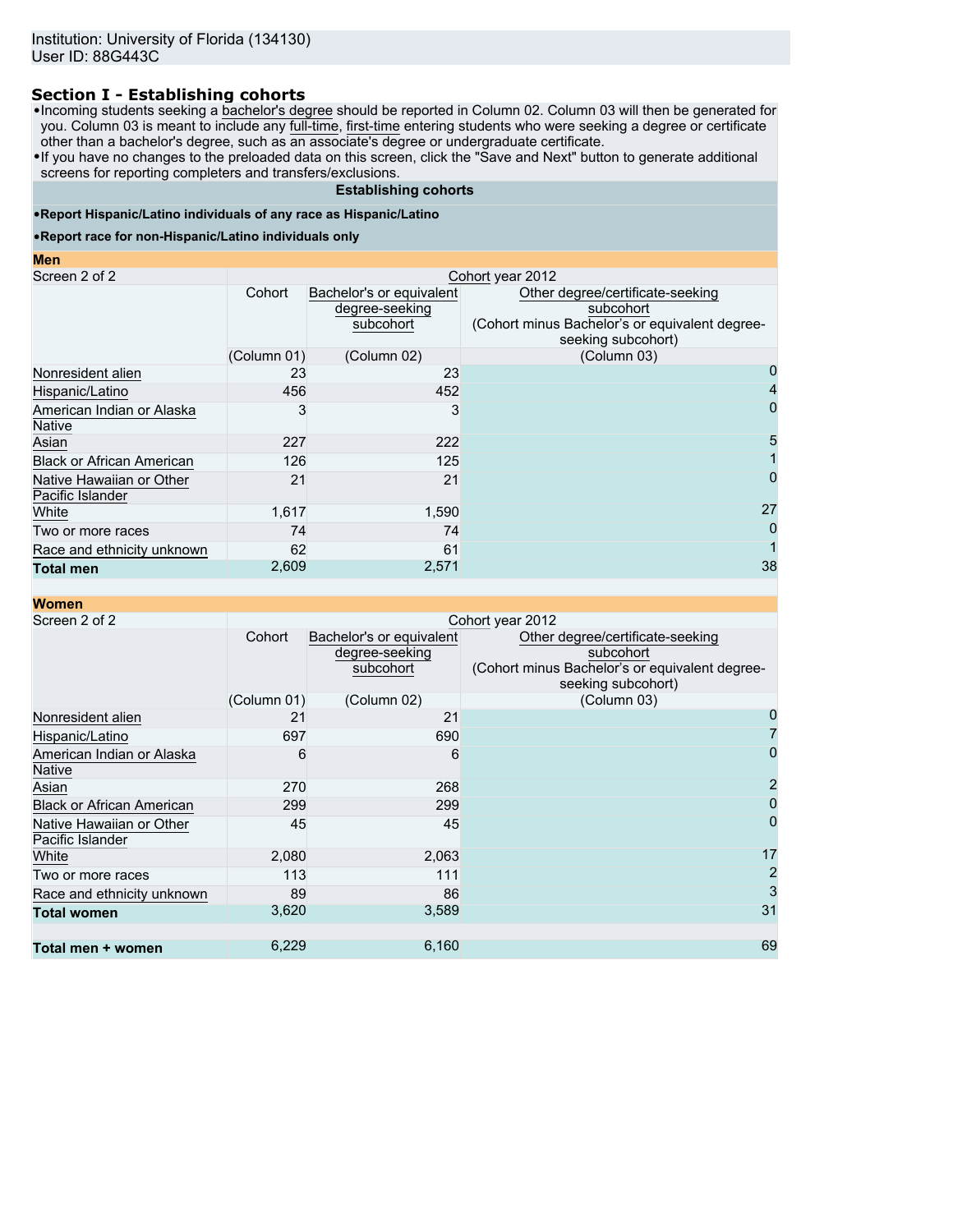# **Section I - Establishing cohorts**

•Incoming students seeking a bachelor's degree should be reported in Column 02. Column 03 will then be generated for you. Column 03 is meant to include any <u>full-time, first-time</u> entering students who were seeking a degree or certificate other than a bachelor's degree, such as an associate's degree or undergraduate certificate.

•If you have no changes to the preloaded data on this screen, click the "Save and Next" button to generate additional screens for reporting completers and transfers/exclusions.

## **Establishing cohorts**

## •**Report Hispanic/Latino individuals of any race as Hispanic/Latino**

#### •**Report race for non-Hispanic/Latino individuals only**

#### **Men**

| Screen 2 of 2                                | Cohort year 2012 |                                                         |                                                                                                                       |  |  |
|----------------------------------------------|------------------|---------------------------------------------------------|-----------------------------------------------------------------------------------------------------------------------|--|--|
|                                              | Cohort           | Bachelor's or equivalent<br>degree-seeking<br>subcohort | Other degree/certificate-seeking<br>subcohort<br>(Cohort minus Bachelor's or equivalent degree-<br>seeking subcohort) |  |  |
|                                              | (Column 01)      | (Column 02)                                             | (Column 03)                                                                                                           |  |  |
| Nonresident alien                            | 23               | 23                                                      | 0                                                                                                                     |  |  |
| Hispanic/Latino                              | 456              | 452                                                     | 4                                                                                                                     |  |  |
| American Indian or Alaska<br><b>Native</b>   | 3                | 3                                                       | 0                                                                                                                     |  |  |
| Asian                                        | 227              | 222                                                     | 5                                                                                                                     |  |  |
| <b>Black or African American</b>             | 126              | 125                                                     |                                                                                                                       |  |  |
| Native Hawaiian or Other<br>Pacific Islander | 21               | 21                                                      |                                                                                                                       |  |  |
| White                                        | 1,617            | 1,590                                                   | 27                                                                                                                    |  |  |
| Two or more races                            | 74               | 74                                                      | 0                                                                                                                     |  |  |
| Race and ethnicity unknown                   | 62               | 61                                                      |                                                                                                                       |  |  |
| <b>Total men</b>                             | 2,609            | 2,571                                                   | 38                                                                                                                    |  |  |

| <b>Women</b>                                 |             |                                                         |                                                                                                                       |
|----------------------------------------------|-------------|---------------------------------------------------------|-----------------------------------------------------------------------------------------------------------------------|
| Screen 2 of 2                                |             |                                                         | Cohort year 2012                                                                                                      |
|                                              | Cohort      | Bachelor's or equivalent<br>degree-seeking<br>subcohort | Other degree/certificate-seeking<br>subcohort<br>(Cohort minus Bachelor's or equivalent degree-<br>seeking subcohort) |
|                                              | (Column 01) | (Column 02)                                             | (Column 03)                                                                                                           |
| Nonresident alien                            | 21          | 21                                                      | 0                                                                                                                     |
| Hispanic/Latino                              | 697         | 690                                                     |                                                                                                                       |
| American Indian or Alaska<br><b>Native</b>   | 6           | 6                                                       | 0                                                                                                                     |
| Asian                                        | 270         | 268                                                     |                                                                                                                       |
| <b>Black or African American</b>             | 299         | 299                                                     | 0                                                                                                                     |
| Native Hawaiian or Other<br>Pacific Islander | 45          | 45                                                      | 0                                                                                                                     |
| White                                        | 2,080       | 2,063                                                   | 17                                                                                                                    |
| Two or more races                            | 113         | 111                                                     | 2                                                                                                                     |
| Race and ethnicity unknown                   | 89          | 86                                                      | 3                                                                                                                     |
| <b>Total women</b>                           | 3,620       | 3,589                                                   | 31                                                                                                                    |
| Total men + women                            | 6,229       | 6,160                                                   | 69                                                                                                                    |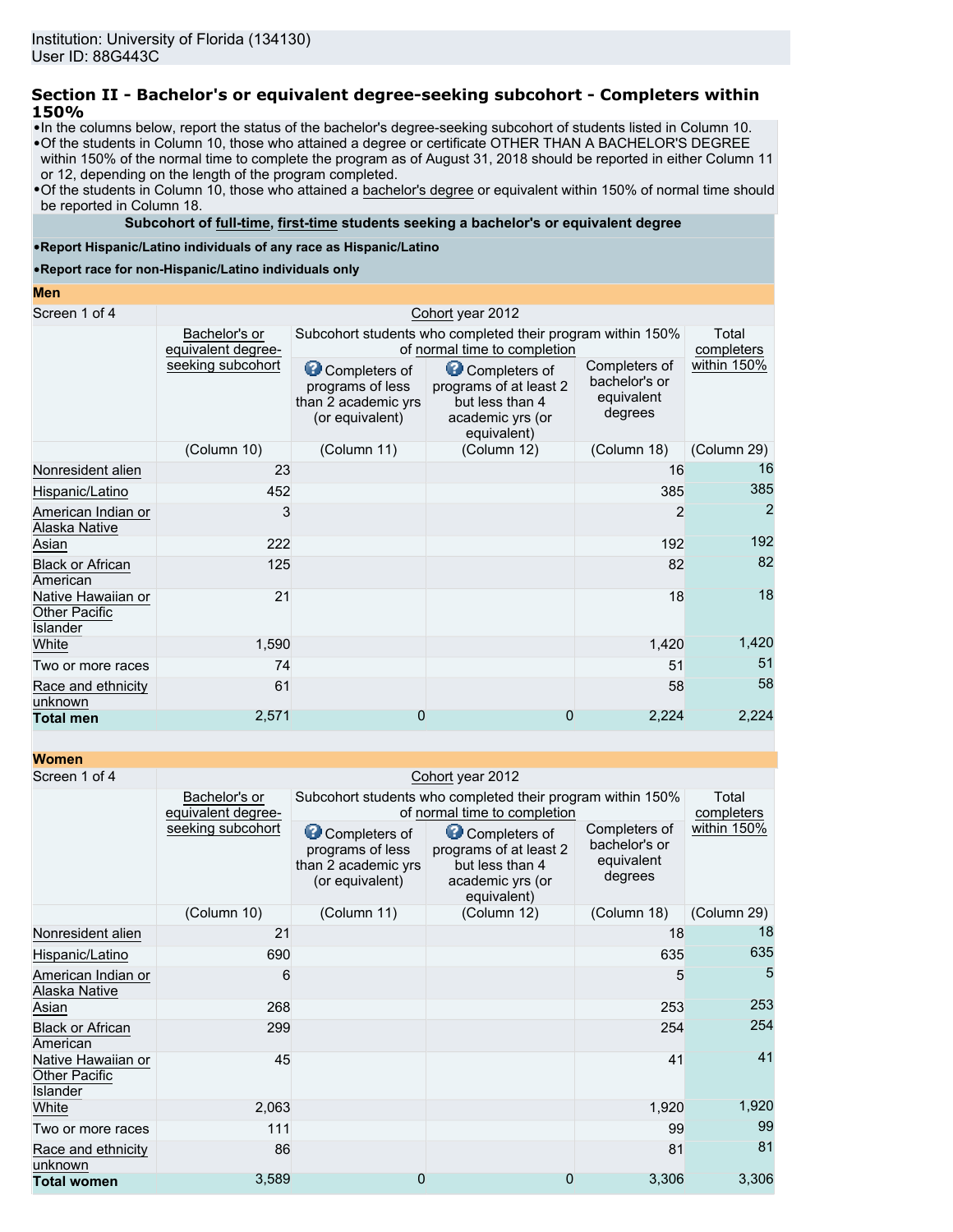# **Section II - Bachelor's or equivalent degree-seeking subcohort - Completers within 150%**

•In the columns below, report the status of the bachelor's degree-seeking subcohort of students listed in Column 10.

•Of the students in Column 10, those who attained a degree or certificate OTHER THAN A BACHELOR'S DEGREE within 150% of the normal time to complete the program as of August 31, 2018 should be reported in either Column 11 or 12, depending on the length of the program completed.

•Of the students in Column 10, those who attained a bachelor's degree or equivalent within 150% of normal time should be reported in Column 18.

## **Subcohort of full-time, first-time students seeking a bachelor's or equivalent degree**

•**Report Hispanic/Latino individuals of any race as Hispanic/Latino**

•**Report race for non-Hispanic/Latino individuals only**

### **Men**

| Screen 1 of 4                                          | Cohort year 2012                    |                                                                                            |                                                                                               |                                                         |                |  |
|--------------------------------------------------------|-------------------------------------|--------------------------------------------------------------------------------------------|-----------------------------------------------------------------------------------------------|---------------------------------------------------------|----------------|--|
|                                                        | Bachelor's or<br>equivalent degree- | Subcohort students who completed their program within 150%<br>of normal time to completion |                                                                                               | Total<br>completers                                     |                |  |
|                                                        | seeking subcohort                   | Completers of<br>programs of less<br>than 2 academic yrs<br>(or equivalent)                | Completers of<br>programs of at least 2<br>but less than 4<br>academic yrs (or<br>equivalent) | Completers of<br>bachelor's or<br>equivalent<br>degrees | within 150%    |  |
|                                                        | (Column 10)                         | (Column 11)                                                                                | (Column 12)                                                                                   | (Column 18)                                             | (Column 29)    |  |
| Nonresident alien                                      | 23                                  |                                                                                            |                                                                                               | 16                                                      | 16             |  |
| Hispanic/Latino                                        | 452                                 |                                                                                            |                                                                                               | 385                                                     | 385            |  |
| American Indian or<br>Alaska Native                    | 3                                   |                                                                                            |                                                                                               | 2                                                       | $\overline{2}$ |  |
| Asian                                                  | 222                                 |                                                                                            |                                                                                               | 192                                                     | 192            |  |
| <b>Black or African</b><br>American                    | 125                                 |                                                                                            |                                                                                               | 82                                                      | 82             |  |
| Native Hawaiian or<br><b>Other Pacific</b><br>Islander | 21                                  |                                                                                            |                                                                                               | 18                                                      | 18             |  |
| White                                                  | 1,590                               |                                                                                            |                                                                                               | 1,420                                                   | 1,420          |  |
| Two or more races                                      | 74                                  |                                                                                            |                                                                                               | 51                                                      | 51             |  |
| Race and ethnicity<br>unknown                          | 61                                  |                                                                                            |                                                                                               | 58                                                      | 58             |  |
| <b>Total men</b>                                       | 2,571                               | 0                                                                                          | 0                                                                                             | 2,224                                                   | 2,224          |  |

| <b>Women</b>                                           |                                     |                                                                             |                                                                                               |                                                         |                     |
|--------------------------------------------------------|-------------------------------------|-----------------------------------------------------------------------------|-----------------------------------------------------------------------------------------------|---------------------------------------------------------|---------------------|
| Screen 1 of 4                                          |                                     |                                                                             | Cohort year 2012                                                                              |                                                         |                     |
|                                                        | Bachelor's or<br>equivalent degree- |                                                                             | Subcohort students who completed their program within 150%<br>of normal time to completion    |                                                         | Total<br>completers |
|                                                        | seeking subcohort                   | Completers of<br>programs of less<br>than 2 academic yrs<br>(or equivalent) | Completers of<br>programs of at least 2<br>but less than 4<br>academic yrs (or<br>equivalent) | Completers of<br>bachelor's or<br>equivalent<br>degrees | within 150%         |
|                                                        | (Column 10)                         | (Column 11)                                                                 | (Column 12)                                                                                   | (Column 18)                                             | (Column 29)         |
| Nonresident alien                                      | 21                                  |                                                                             |                                                                                               | 18                                                      | 18                  |
| Hispanic/Latino                                        | 690                                 |                                                                             |                                                                                               | 635                                                     | 635                 |
| American Indian or<br>Alaska Native                    | 6                                   |                                                                             |                                                                                               | 5                                                       | 5                   |
| Asian                                                  | 268                                 |                                                                             |                                                                                               | 253                                                     | 253                 |
| <b>Black or African</b><br>American                    | 299                                 |                                                                             |                                                                                               | 254                                                     | 254                 |
| Native Hawaiian or<br><b>Other Pacific</b><br>Islander | 45                                  |                                                                             |                                                                                               | 41                                                      | 41                  |
| White                                                  | 2,063                               |                                                                             |                                                                                               | 1,920                                                   | 1,920               |
| Two or more races                                      | 111                                 |                                                                             |                                                                                               | 99                                                      | 99                  |
| Race and ethnicity<br>unknown                          | 86                                  |                                                                             |                                                                                               | 81                                                      | 81                  |
| <b>Total women</b>                                     | 3,589                               | 0                                                                           | 0                                                                                             | 3,306                                                   | 3,306               |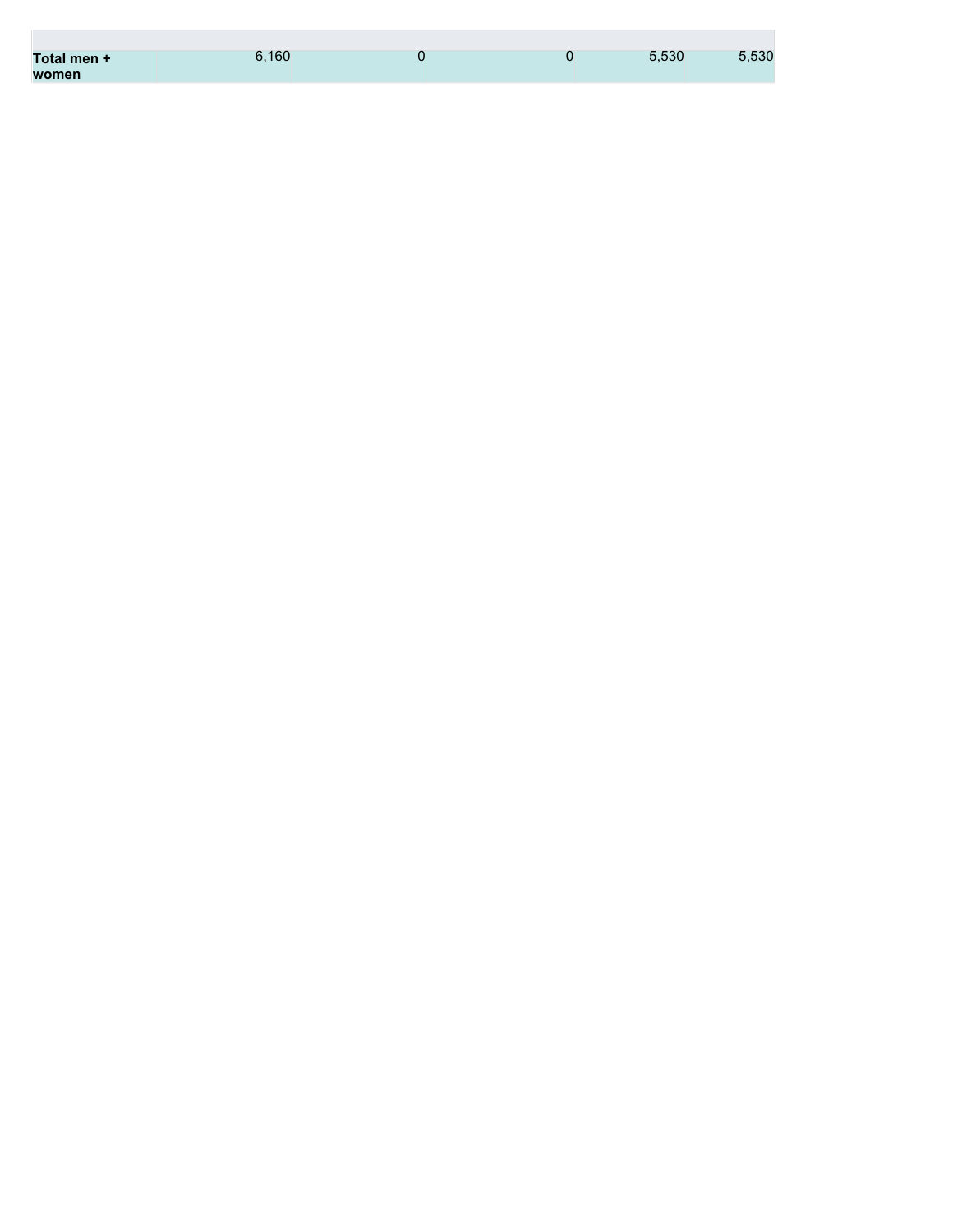| Total men + | 6,160 |  | 5,530 | 5,530 |
|-------------|-------|--|-------|-------|
| women       |       |  |       |       |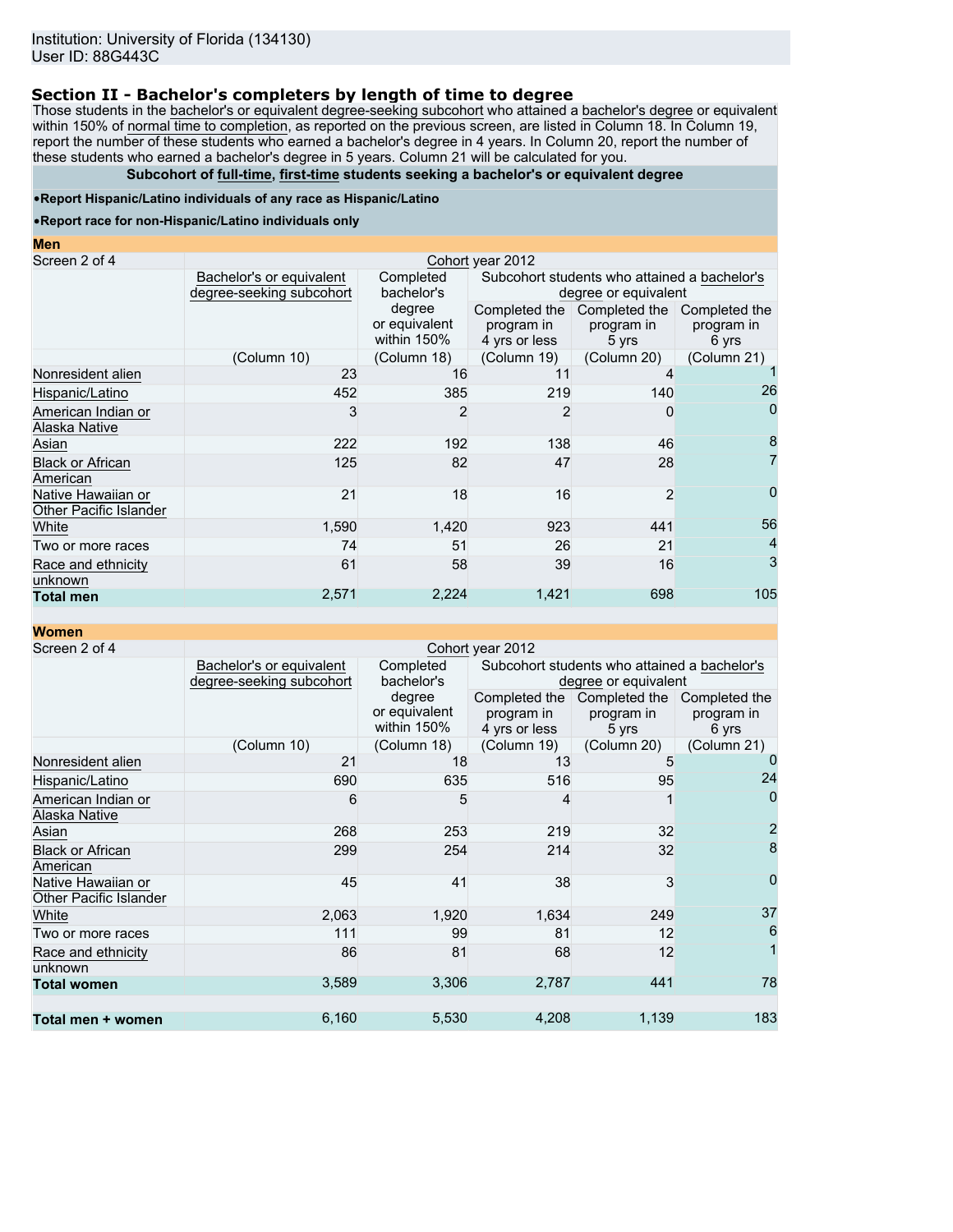# **Section II - Bachelor's completers by length of time to degree**

Those students in the bachelor's or equivalent degree-seeking subcohort who attained a bachelor's degree or equivalent within 150% of normal time to completion, as reported on the previous screen, are listed in Column 18. In Column 19, report the number of these students who earned a bachelor's degree in 4 years. In Column 20, report the number of these students who earned a bachelor's degree in 5 years. Column 21 will be calculated for you.

## **Subcohort of full-time, first-time students seeking a bachelor's or equivalent degree**

### •**Report Hispanic/Latino individuals of any race as Hispanic/Latino**

#### •**Report race for non-Hispanic/Latino individuals only**

| <b>Men</b>                                   |                                                      |                                        |                                                                      |                                      |                                      |  |
|----------------------------------------------|------------------------------------------------------|----------------------------------------|----------------------------------------------------------------------|--------------------------------------|--------------------------------------|--|
| Screen 2 of 4                                |                                                      |                                        | Cohort year 2012                                                     |                                      |                                      |  |
|                                              | Bachelor's or equivalent<br>degree-seeking subcohort | Completed<br>bachelor's                | Subcohort students who attained a bachelor's<br>degree or equivalent |                                      |                                      |  |
|                                              |                                                      | degree<br>or equivalent<br>within 150% | Completed the<br>program in<br>4 yrs or less                         | Completed the<br>program in<br>5 yrs | Completed the<br>program in<br>6 yrs |  |
|                                              | (Column 10)                                          | (Column 18)                            | (Column 19)                                                          | (Column 20)                          | (Column 21)                          |  |
| Nonresident alien                            | 23                                                   | 16                                     | 11                                                                   |                                      |                                      |  |
| Hispanic/Latino                              | 452                                                  | 385                                    | 219                                                                  | 140                                  | 26                                   |  |
| American Indian or<br>Alaska Native          | 3                                                    | 2                                      | 2                                                                    |                                      | 0                                    |  |
| Asian                                        | 222                                                  | 192                                    | 138                                                                  | 46                                   | 8                                    |  |
| <b>Black or African</b><br>American          | 125                                                  | 82                                     | 47                                                                   | 28                                   |                                      |  |
| Native Hawaiian or<br>Other Pacific Islander | 21                                                   | 18                                     | 16                                                                   | 2                                    | 0                                    |  |
| White                                        | 1,590                                                | 1,420                                  | 923                                                                  | 441                                  | 56                                   |  |
| Two or more races                            | 74                                                   | 51                                     | 26                                                                   | 21                                   | 4                                    |  |
| Race and ethnicity<br>unknown                | 61                                                   | 58                                     | 39                                                                   | 16                                   | 3                                    |  |
| <b>Total men</b>                             | 2,571                                                | 2,224                                  | 1,421                                                                | 698                                  | 105                                  |  |

**Women**

| Screen 2 of 4                                |                          |               | Cohort year 2012 |                                              |                |
|----------------------------------------------|--------------------------|---------------|------------------|----------------------------------------------|----------------|
|                                              | Bachelor's or equivalent | Completed     |                  | Subcohort students who attained a bachelor's |                |
|                                              | degree-seeking subcohort | bachelor's    |                  | degree or equivalent                         |                |
|                                              |                          | degree        |                  | Completed the Completed the                  | Completed the  |
|                                              |                          | or equivalent | program in       | program in                                   | program in     |
|                                              |                          | within 150%   | 4 yrs or less    | 5 yrs                                        | 6 yrs          |
|                                              | (Column 10)              | (Column 18)   | (Column 19)      | (Column 20)                                  | (Column 21)    |
| Nonresident alien                            | 21                       | 18            | 13               | 5                                            |                |
| Hispanic/Latino                              | 690                      | 635           | 516              | 95                                           | 24             |
| American Indian or                           | 6                        | 5             | 4                |                                              | 0              |
| Alaska Native                                |                          |               |                  |                                              |                |
| Asian                                        | 268                      | 253           | 219              | 32                                           | $\overline{2}$ |
| <b>Black or African</b><br>American          | 299                      | 254           | 214              | 32                                           | 8              |
| Native Hawaiian or<br>Other Pacific Islander | 45                       | 41            | 38               | 3                                            | $\overline{0}$ |
| White                                        | 2,063                    | 1,920         | 1,634            | 249                                          | 37             |
| Two or more races                            | 111                      | 99            | 81               | 12                                           | 6              |
| Race and ethnicity                           | 86                       | 81            | 68               | 12                                           |                |
| unknown                                      |                          |               |                  |                                              |                |
| <b>Total women</b>                           | 3,589                    | 3,306         | 2,787            | 441                                          | 78             |
|                                              |                          |               |                  |                                              |                |
| Total men + women                            | 6,160                    | 5,530         | 4,208            | 1,139                                        | 183            |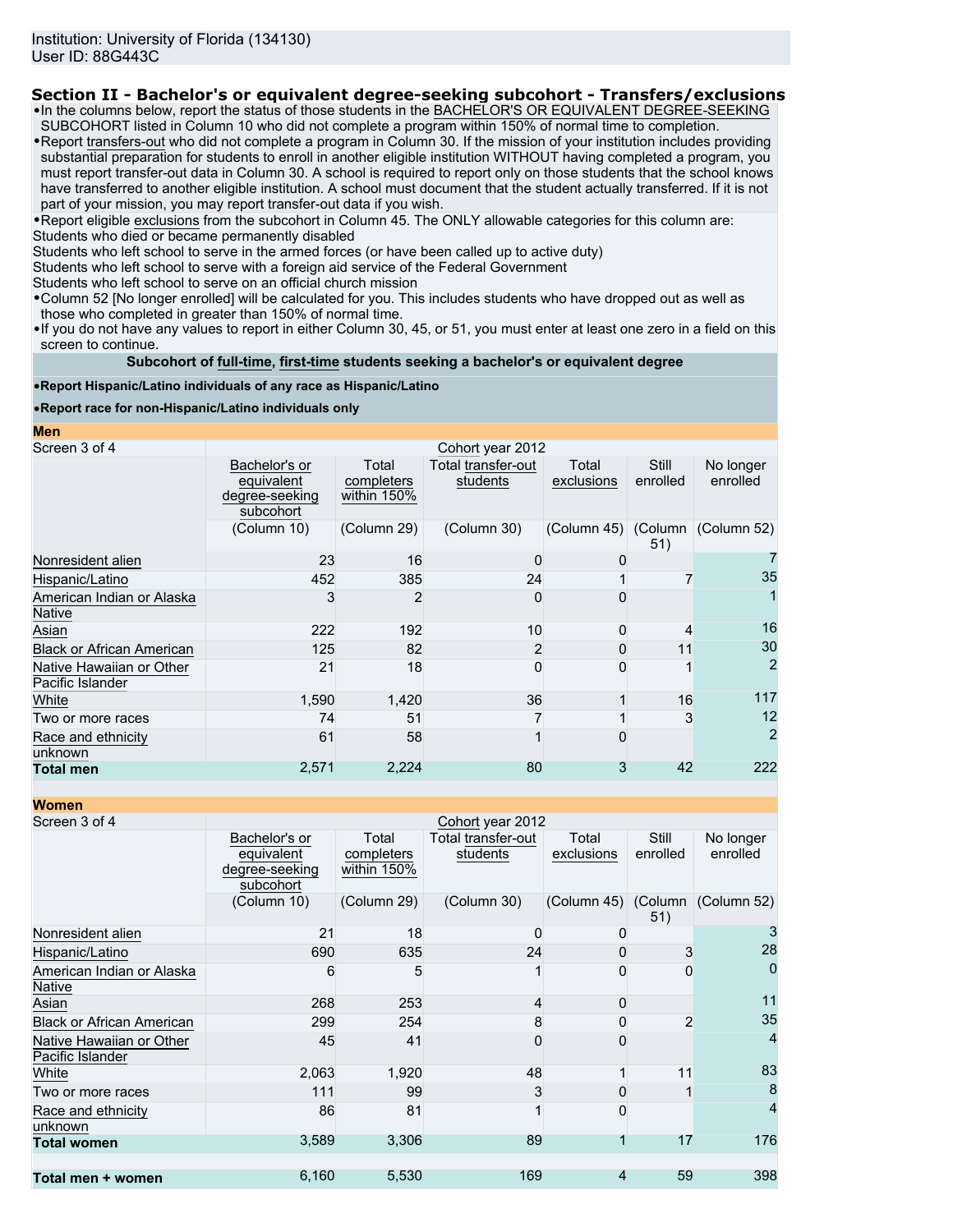# **Section II - Bachelor's or equivalent degree-seeking subcohort - Transfers/exclusions**

•In the columns below, report the status of those students in the BACHELOR'S OR EQUIVALENT DEGREE-SEEKING SUBCOHORT listed in Column 10 who did not complete a program within 150% of normal time to completion.

•Report transfers-out who did not complete a program in Column 30. If the mission of your institution includes providing substantial preparation for students to enroll in another eligible institution WITHOUT having completed a program, you must report transfer-out data in Column 30. A school is required to report only on those students that the school knows have transferred to another eligible institution. A school must document that the student actually transferred. If it is not part of your mission, you may report transfer-out data if you wish.

•Report eligible exclusions from the subcohort in Column 45. The ONLY allowable categories for this column are: Students who died or became permanently disabled

Students who left school to serve in the armed forces (or have been called up to active duty)

Students who left school to serve with a foreign aid service of the Federal Government

Students who left school to serve on an official church mission

•Column 52 [No longer enrolled] will be calculated for you. This includes students who have dropped out as well as those who completed in greater than 150% of normal time.

•If you do not have any values to report in either Column 30, 45, or 51, you must enter at least one zero in a field on this screen to continue.

### **Subcohort of full-time, first-time students seeking a bachelor's or equivalent degree**

### •**Report Hispanic/Latino individuals of any race as Hispanic/Latino**

## •**Report race for non-Hispanic/Latino individuals only**

#### **Men**

| Screen 3 of 4                                | Cohort year 2012                                           |                                    |                                |                                 |                   |                       |
|----------------------------------------------|------------------------------------------------------------|------------------------------------|--------------------------------|---------------------------------|-------------------|-----------------------|
|                                              | Bachelor's or<br>equivalent<br>degree-seeking<br>subcohort | Total<br>completers<br>within 150% | Total transfer-out<br>students | Total<br>exclusions             | Still<br>enrolled | No longer<br>enrolled |
|                                              | (Column 10)                                                | (Column 29)                        | (Column 30)                    | (Column 45) (Column (Column 52) | 51)               |                       |
| Nonresident alien                            | 23                                                         | 16                                 |                                |                                 |                   |                       |
| Hispanic/Latino                              | 452                                                        | 385                                | 24                             |                                 |                   | 35                    |
| American Indian or Alaska<br><b>Native</b>   |                                                            | 2                                  | 0                              |                                 |                   |                       |
| Asian                                        | 222                                                        | 192                                | 10                             |                                 |                   | 16                    |
| <b>Black or African American</b>             | 125                                                        | 82                                 |                                |                                 | 11                | 30                    |
| Native Hawaiian or Other<br>Pacific Islander | 21                                                         | 18                                 | ŋ                              |                                 |                   | 2                     |
| White                                        | 1,590                                                      | 1,420                              | 36                             |                                 | 16                | 117                   |
| Two or more races                            | 74                                                         | 51                                 |                                |                                 | 3                 | 12                    |
| Race and ethnicity<br>unknown                | 61                                                         | 58                                 |                                |                                 |                   | 2                     |
| <b>Total men</b>                             | 2,571                                                      | 2,224                              | 80                             | 3                               | 42                | 222                   |

### **Women**

| <u>WUHEH</u>                                 |                                                            |                                    |                                |                     |                   |                       |
|----------------------------------------------|------------------------------------------------------------|------------------------------------|--------------------------------|---------------------|-------------------|-----------------------|
| Screen 3 of 4                                |                                                            |                                    | Cohort year 2012               |                     |                   |                       |
|                                              | Bachelor's or<br>equivalent<br>degree-seeking<br>subcohort | Total<br>completers<br>within 150% | Total transfer-out<br>students | Total<br>exclusions | Still<br>enrolled | No longer<br>enrolled |
|                                              | (Column 10)                                                | (Column 29)                        | (Column 30)                    | (Column 45) (Column | 51)               | (Column 52)           |
| Nonresident alien                            | 21                                                         | 18                                 | O                              | 0                   |                   | 3                     |
| Hispanic/Latino                              | 690                                                        | 635                                | 24                             |                     | 3                 | 28                    |
| American Indian or Alaska<br><b>Native</b>   | 6                                                          | 5                                  |                                | U                   | 0                 | 0                     |
| Asian                                        | 268                                                        | 253                                | 4                              | 0                   |                   | 11                    |
| <b>Black or African American</b>             | 299                                                        | 254                                | 8                              | 0                   | $\overline{2}$    | 35                    |
| Native Hawaiian or Other<br>Pacific Islander | 45                                                         | 41                                 | 0                              | 0                   |                   | 4                     |
| White                                        | 2,063                                                      | 1,920                              | 48                             |                     | 11                | 83                    |
| Two or more races                            | 111                                                        | 99                                 | 3                              | 0                   |                   | 8                     |
| Race and ethnicity<br>unknown                | 86                                                         | 81                                 |                                |                     |                   | 4                     |
| <b>Total women</b>                           | 3,589                                                      | 3,306                              | 89                             |                     | 17                | 176                   |
| Total men + women                            | 6,160                                                      | 5,530                              | 169                            | 4                   | 59                | 398                   |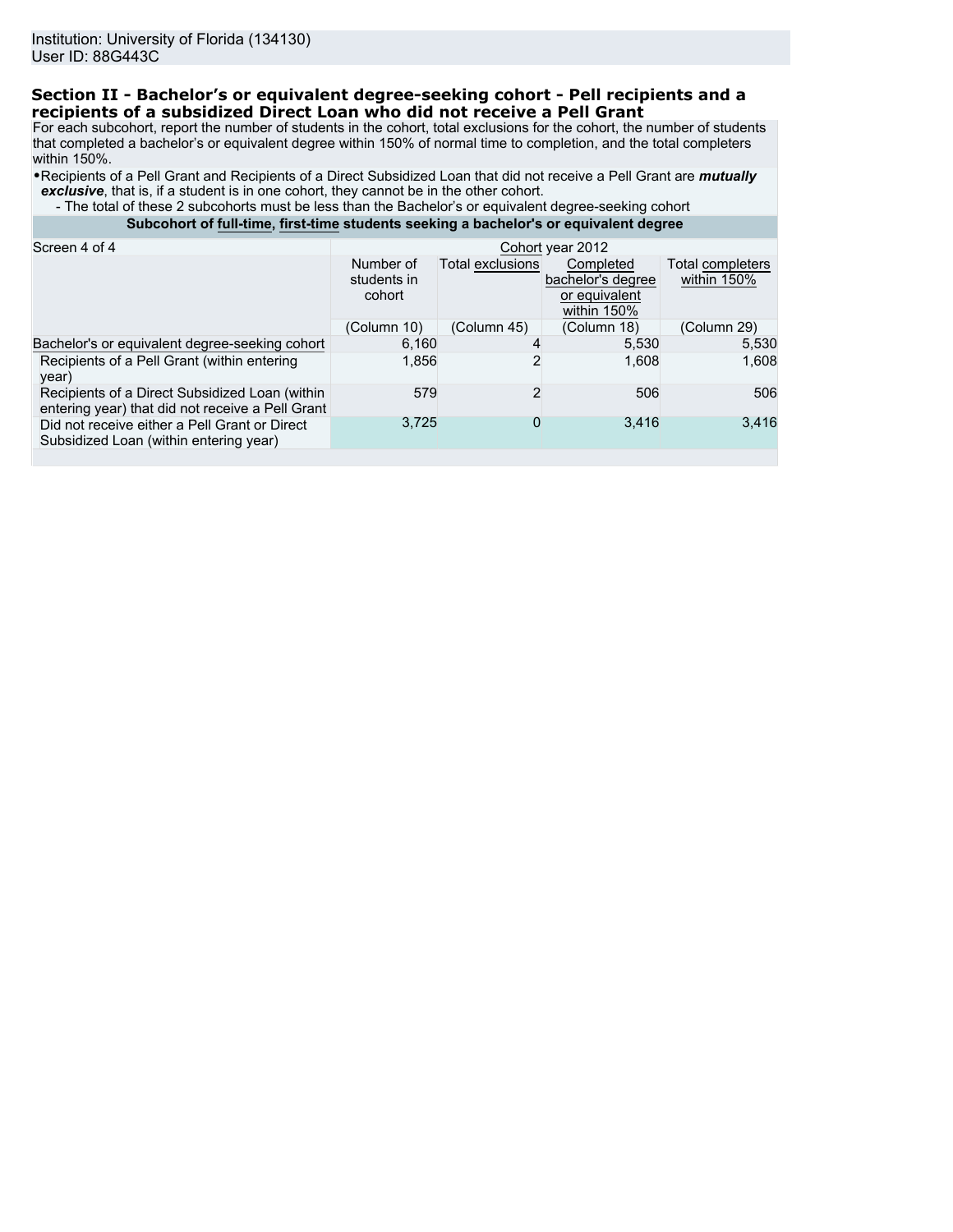# **Section II - Bachelor's or equivalent degree-seeking cohort - Pell recipients and a recipients of a subsidized Direct Loan who did not receive a Pell Grant**

For each subcohort, report the number of students in the cohort, total exclusions for the cohort, the number of students that completed a bachelor's or equivalent degree within 150% of normal time to completion, and the total completers within 150%.

•Recipients of a Pell Grant and Recipients of a Direct Subsidized Loan that did not receive a Pell Grant are *mutually exclusive*, that is, if a student is in one cohort, they cannot be in the other cohort.

 - The total of these 2 subcohorts must be less than the Bachelor's or equivalent degree-seeking cohort **Subcohort of full-time, first-time students seeking a bachelor's or equivalent degree**

| Screen 4 of 4                                                                                      | Cohort year 2012                   |                  |                                                                |                                 |  |  |
|----------------------------------------------------------------------------------------------------|------------------------------------|------------------|----------------------------------------------------------------|---------------------------------|--|--|
|                                                                                                    | Number of<br>students in<br>cohort | Total exclusions | Completed<br>bachelor's degree<br>or equivalent<br>within 150% | Total completers<br>within 150% |  |  |
|                                                                                                    | (Column 10)                        | (Column 45)      | (Column 18)                                                    | (Column 29)                     |  |  |
| Bachelor's or equivalent degree-seeking cohort                                                     | 6,160                              | 4                | 5,530                                                          | 5,530                           |  |  |
| Recipients of a Pell Grant (within entering<br>year)                                               | 1,856                              | 2                | 1,608                                                          | 1.608                           |  |  |
| Recipients of a Direct Subsidized Loan (within<br>entering year) that did not receive a Pell Grant | 579                                | $\overline{2}$   | 506                                                            | 506                             |  |  |
| Did not receive either a Pell Grant or Direct<br>Subsidized Loan (within entering year)            | 3,725                              | 0                | 3,416                                                          | 3,416                           |  |  |
|                                                                                                    |                                    |                  |                                                                |                                 |  |  |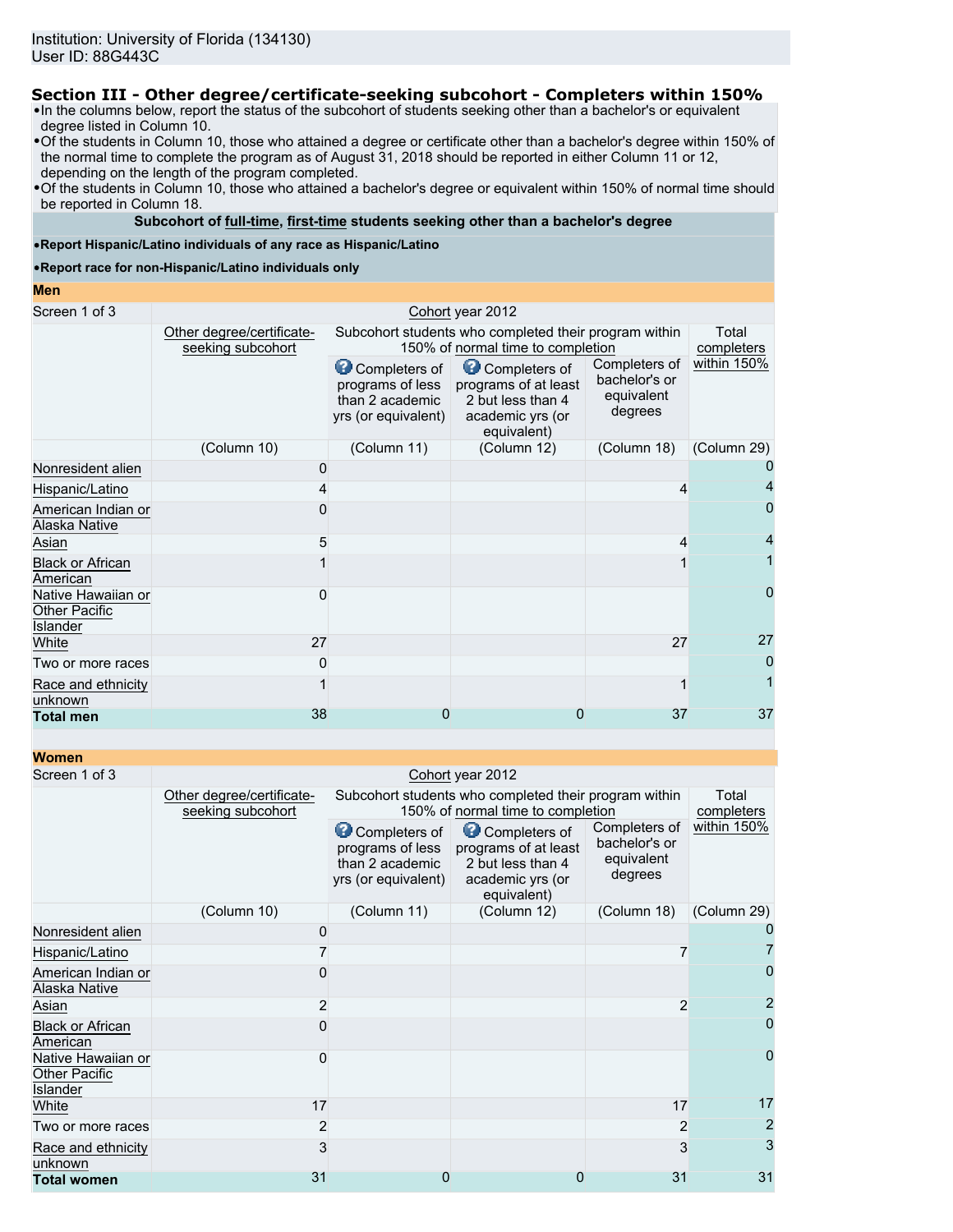# **Section III - Other degree/certificate-seeking subcohort - Completers within 150%**

•In the columns below, report the status of the subcohort of students seeking other than a bachelor's or equivalent degree listed in Column 10.

•Of the students in Column 10, those who attained a degree or certificate other than a bachelor's degree within 150% of the normal time to complete the program as of August 31, 2018 should be reported in either Column 11 or 12, depending on the length of the program completed.

•Of the students in Column 10, those who attained a bachelor's degree or equivalent within 150% of normal time should be reported in Column 18.

## **Subcohort of full-time, first-time students seeking other than a bachelor's degree**

### •**Report Hispanic/Latino individuals of any race as Hispanic/Latino**

### •**Report race for non-Hispanic/Latino individuals only**

#### **Men**

| Screen 1 of 3                                                 |                                                | Cohort year 2012                                                            |                                                                                               |                                                         |                     |  |  |
|---------------------------------------------------------------|------------------------------------------------|-----------------------------------------------------------------------------|-----------------------------------------------------------------------------------------------|---------------------------------------------------------|---------------------|--|--|
|                                                               | Other degree/certificate-<br>seeking subcohort |                                                                             | Subcohort students who completed their program within<br>150% of normal time to completion    |                                                         | Total<br>completers |  |  |
|                                                               |                                                | Completers of<br>programs of less<br>than 2 academic<br>yrs (or equivalent) | Completers of<br>programs of at least<br>2 but less than 4<br>academic yrs (or<br>equivalent) | Completers of<br>bachelor's or<br>equivalent<br>degrees | within 150%         |  |  |
|                                                               | (Column 10)                                    | (Column 11)                                                                 | (Column 12)                                                                                   | (Column 18)                                             | (Column 29)         |  |  |
| Nonresident alien                                             | 0                                              |                                                                             |                                                                                               |                                                         |                     |  |  |
| Hispanic/Latino                                               |                                                |                                                                             |                                                                                               | 4                                                       |                     |  |  |
| American Indian or<br>Alaska Native                           |                                                |                                                                             |                                                                                               |                                                         | 0                   |  |  |
| Asian                                                         | 5                                              |                                                                             |                                                                                               | 4                                                       | 4                   |  |  |
| <b>Black or African</b><br>American                           |                                                |                                                                             |                                                                                               |                                                         |                     |  |  |
| Native Hawaiian or<br><b>Other Pacific</b><br><b>Islander</b> |                                                |                                                                             |                                                                                               |                                                         | $\mathbf 0$         |  |  |
| White                                                         | 27                                             |                                                                             |                                                                                               | 27                                                      | 27                  |  |  |
| Two or more races                                             | O                                              |                                                                             |                                                                                               |                                                         | 0                   |  |  |
| Race and ethnicity<br>unknown                                 |                                                |                                                                             |                                                                                               |                                                         |                     |  |  |
| <b>Total men</b>                                              | 38                                             | $\mathbf{I}$                                                                | O                                                                                             | 37                                                      | 37                  |  |  |

**Women**

| <u>WUITEN</u>                                                 |                                                |                                                                             |                                                                                               |                                                         |                     |  |  |  |  |
|---------------------------------------------------------------|------------------------------------------------|-----------------------------------------------------------------------------|-----------------------------------------------------------------------------------------------|---------------------------------------------------------|---------------------|--|--|--|--|
| Screen 1 of 3                                                 |                                                | Cohort year 2012                                                            |                                                                                               |                                                         |                     |  |  |  |  |
|                                                               | Other degree/certificate-<br>seeking subcohort |                                                                             | Subcohort students who completed their program within<br>150% of normal time to completion    |                                                         | Total<br>completers |  |  |  |  |
|                                                               |                                                | Completers of<br>programs of less<br>than 2 academic<br>yrs (or equivalent) | Completers of<br>programs of at least<br>2 but less than 4<br>academic yrs (or<br>equivalent) | Completers of<br>bachelor's or<br>equivalent<br>degrees | within 150%         |  |  |  |  |
|                                                               | (Column 10)                                    | (Column 11)                                                                 | (Column 12)                                                                                   | (Column 18)                                             | (Column 29)         |  |  |  |  |
| Nonresident alien                                             | 0                                              |                                                                             |                                                                                               |                                                         |                     |  |  |  |  |
| Hispanic/Latino                                               |                                                |                                                                             |                                                                                               |                                                         |                     |  |  |  |  |
| American Indian or<br>Alaska Native                           |                                                |                                                                             |                                                                                               |                                                         | 0                   |  |  |  |  |
| Asian                                                         | 2                                              |                                                                             |                                                                                               | 2                                                       | 2                   |  |  |  |  |
| <b>Black or African</b><br>American                           | 0                                              |                                                                             |                                                                                               |                                                         | 0                   |  |  |  |  |
| Native Hawaiian or<br><b>Other Pacific</b><br><b>Islander</b> | 0                                              |                                                                             |                                                                                               |                                                         | $\Omega$            |  |  |  |  |
| White                                                         | 17                                             |                                                                             |                                                                                               | 17                                                      | 17                  |  |  |  |  |
| Two or more races                                             | 2                                              |                                                                             |                                                                                               | 2                                                       | $\overline{2}$      |  |  |  |  |
| Race and ethnicity<br>unknown                                 | 3                                              |                                                                             |                                                                                               | 3                                                       | 3                   |  |  |  |  |
| <b>Total women</b>                                            | 31                                             |                                                                             |                                                                                               | 31                                                      | 31                  |  |  |  |  |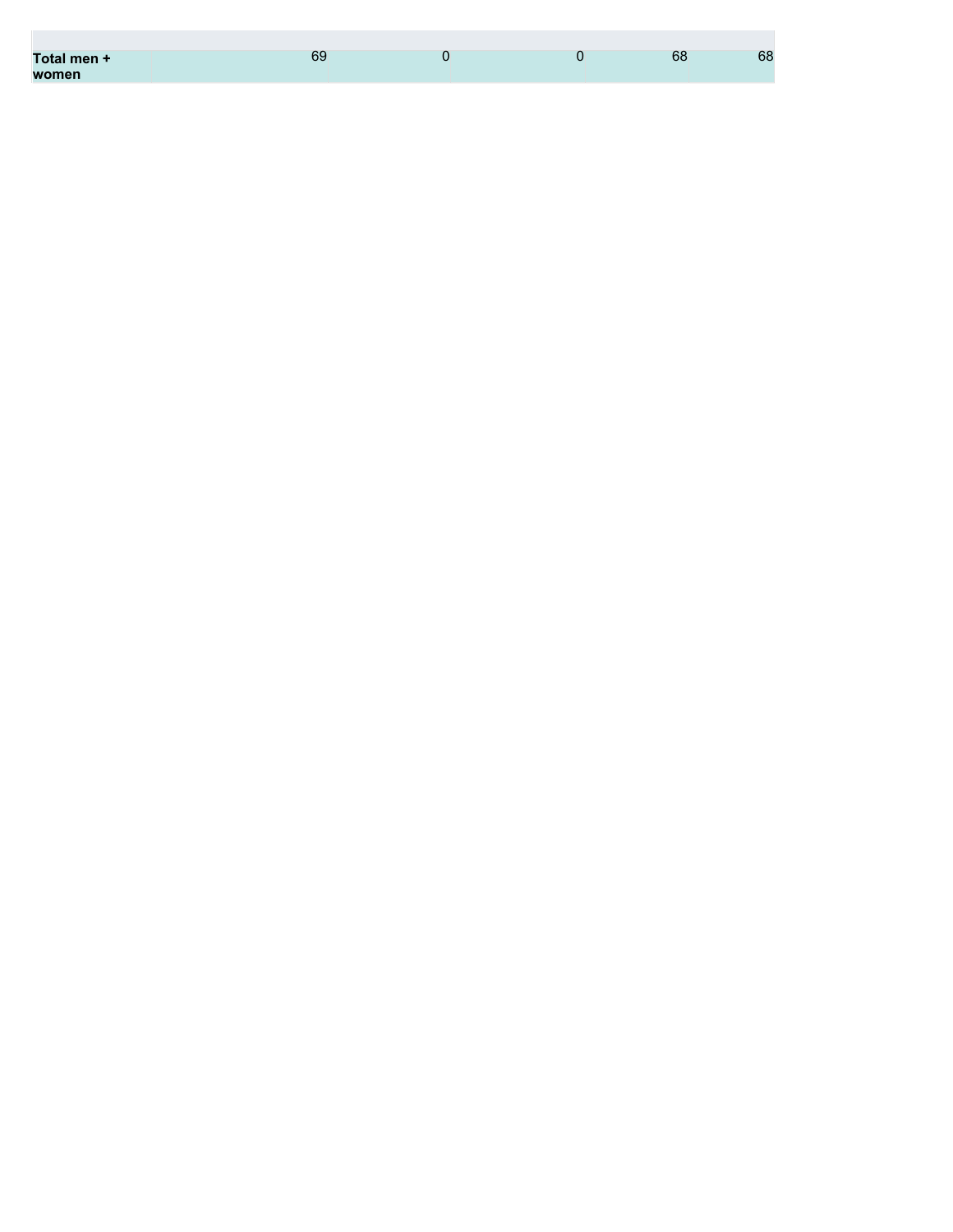| Total men + | 69 |  | 68 | 68 |
|-------------|----|--|----|----|
| women       |    |  |    |    |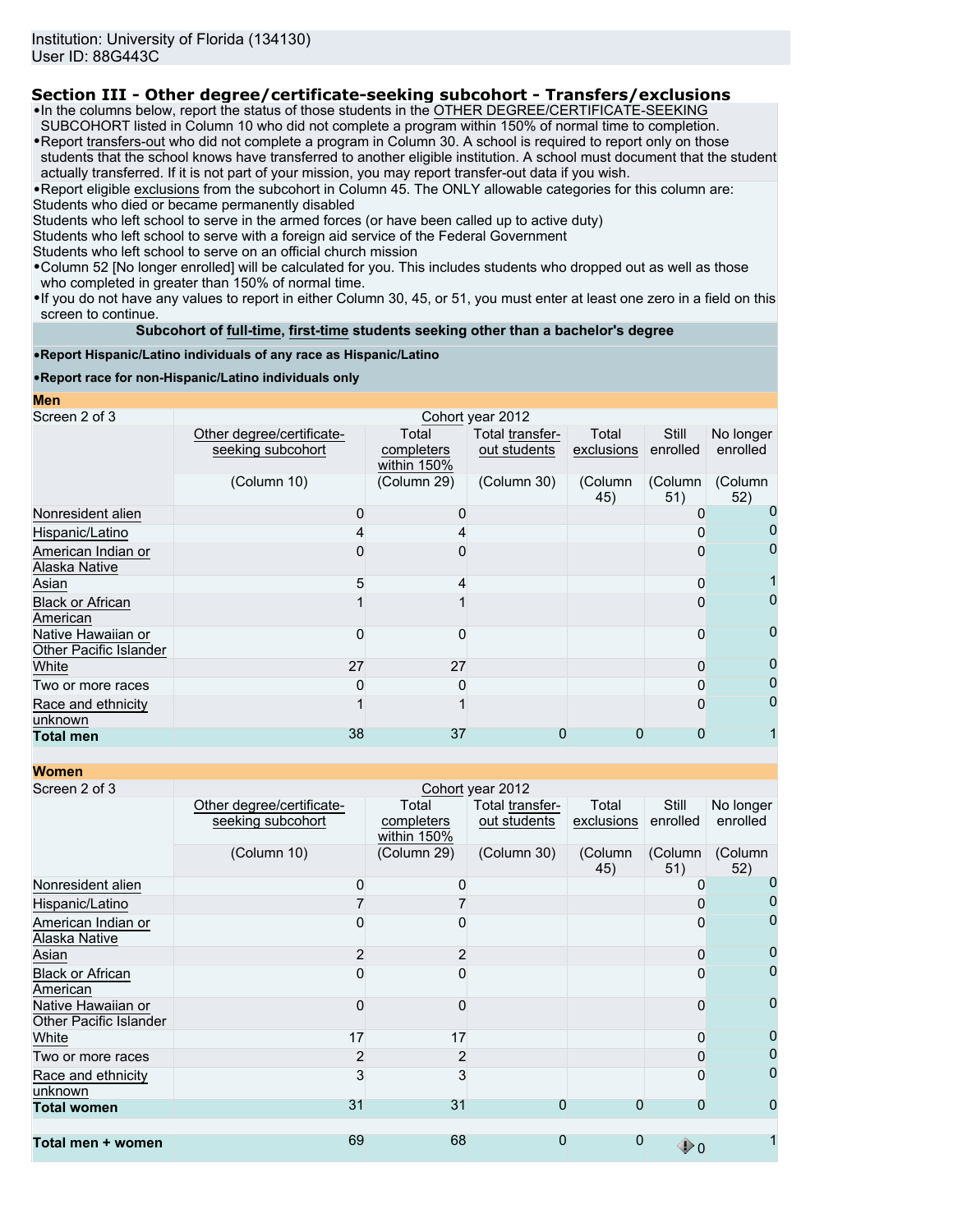# **Section III - Other degree/certificate-seeking subcohort - Transfers/exclusions**

•In the columns below, report the status of those students in the OTHER DEGREE/CERTIFICATE-SEEKING SUBCOHORT listed in Column 10 who did not complete a program within 150% of normal time to completion.

•Report transfers-out who did not complete a program in Column 30. A school is required to report only on those students that the school knows have transferred to another eligible institution. A school must document that the student actually transferred. If it is not part of your mission, you may report transfer-out data if you wish.

•Report eligible exclusions from the subcohort in Column 45. The ONLY allowable categories for this column are: Students who died or became permanently disabled

Students who left school to serve in the armed forces (or have been called up to active duty)

Students who left school to serve with a foreign aid service of the Federal Government

Students who left school to serve on an official church mission

•Column 52 [No longer enrolled] will be calculated for you. This includes students who dropped out as well as those who completed in greater than 150% of normal time.

•If you do not have any values to report in either Column 30, 45, or 51, you must enter at least one zero in a field on this screen to continue.

## **Subcohort of full-time, first-time students seeking other than a bachelor's degree**

•**Report Hispanic/Latino individuals of any race as Hispanic/Latino**

## •**Report race for non-Hispanic/Latino individuals only**

| <b>Men</b>                                   |                                                |                                    |                                 |                     |                   |                       |  |  |
|----------------------------------------------|------------------------------------------------|------------------------------------|---------------------------------|---------------------|-------------------|-----------------------|--|--|
| Screen 2 of 3                                | Cohort year 2012                               |                                    |                                 |                     |                   |                       |  |  |
|                                              | Other degree/certificate-<br>seeking subcohort | Total<br>completers<br>within 150% | Total transfer-<br>out students | Total<br>exclusions | Still<br>enrolled | No longer<br>enrolled |  |  |
|                                              | (Column 10)                                    | (Column 29)                        | (Column 30)                     | (Column<br>45)      | (Column<br>51)    | (Column<br>52)        |  |  |
| Nonresident alien                            |                                                |                                    |                                 |                     |                   |                       |  |  |
| Hispanic/Latino                              |                                                |                                    |                                 |                     |                   |                       |  |  |
| American Indian or<br>Alaska Native          |                                                |                                    |                                 |                     |                   |                       |  |  |
| Asian                                        | 5                                              | 4                                  |                                 |                     | 0                 |                       |  |  |
| <b>Black or African</b><br>American          |                                                |                                    |                                 |                     |                   |                       |  |  |
| Native Hawaiian or<br>Other Pacific Islander |                                                |                                    |                                 |                     |                   |                       |  |  |
| White                                        | 27                                             | 27                                 |                                 |                     | N                 | 0                     |  |  |
| Two or more races                            |                                                |                                    |                                 |                     |                   | 0                     |  |  |
| Race and ethnicity<br>unknown                |                                                |                                    |                                 |                     |                   |                       |  |  |
| <b>Total men</b>                             | 38                                             | 37                                 |                                 |                     |                   |                       |  |  |

**Women** Screen 2 of 3 Cohort year 2012 Other degree/certificateseeking subcohort Total completers within 150% Total transferout students Total exclusions **Still** enrolled No longer enrolled (Column 10) (Column 29) (Column 30) (Column 45) (Column 51) (Column 52) Nonresident alien 0 0 0 0 Hispanic/Latino 1999 and 1999 and 1999 and 1999 and 1999 and 1999 and 1999 and 1999 and 1999 and 1999 and 199 American Indian or Alaska Native 0 0 0 0 Asian 2 2 2 0 0 Black or African American 0 0 0 0 Native Hawaiian or Other Pacific Islander 0 0 0 0 White  $17$   $17$   $17$   $17$   $17$   $17$   $19$   $19$ Two or more races  $\overline{2}$   $\overline{2}$   $\overline{2}$  0 0 0 Race and ethnicity unknown 3 3 3 0 0 **Total women** 31 31 0 0 0 0 **Total men + women** 69 68 0 0 0 1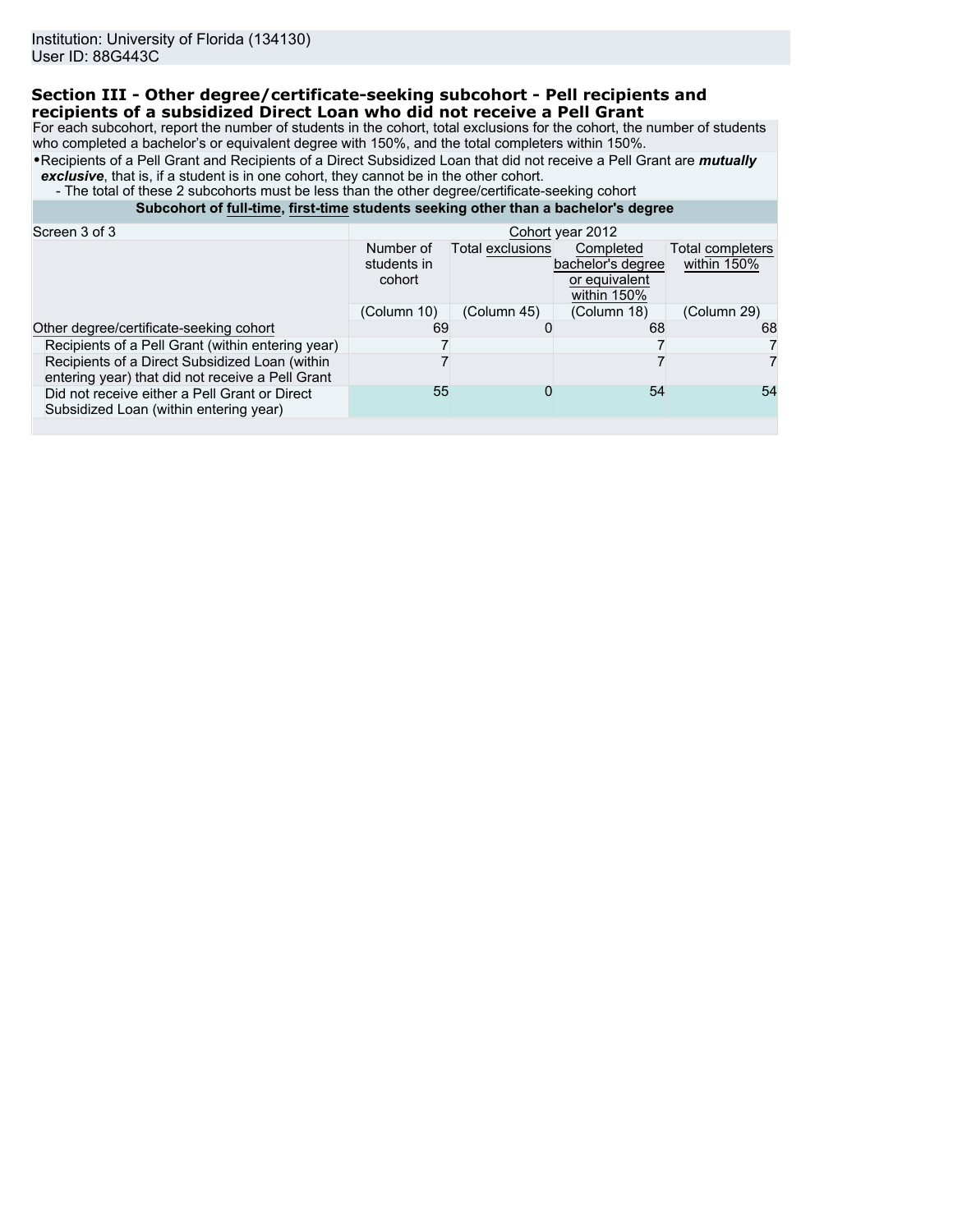# **Section III - Other degree/certificate-seeking subcohort - Pell recipients and recipients of a subsidized Direct Loan who did not receive a Pell Grant**

For each subcohort, report the number of students in the cohort, total exclusions for the cohort, the number of students who completed a bachelor's or equivalent degree with 150%, and the total completers within 150%.

•Recipients of a Pell Grant and Recipients of a Direct Subsidized Loan that did not receive a Pell Grant are *mutually exclusive*, that is, if a student is in one cohort, they cannot be in the other cohort.

- The total of these 2 subcohorts must be less than the other degree/certificate-seeking cohort

# **Subcohort of full-time, first-time students seeking other than a bachelor's degree**

| Screen 3 of 3                                                                                      | Cohort year 2012                   |                  |                                                                |                                 |  |
|----------------------------------------------------------------------------------------------------|------------------------------------|------------------|----------------------------------------------------------------|---------------------------------|--|
|                                                                                                    | Number of<br>students in<br>cohort | Total exclusions | Completed<br>bachelor's degree<br>or equivalent<br>within 150% | Total completers<br>within 150% |  |
|                                                                                                    | (Column 10)                        | (Column 45)      | (Column 18)                                                    | (Column 29)                     |  |
| Other degree/certificate-seeking cohort                                                            | 69                                 |                  | 68                                                             | 68                              |  |
| Recipients of a Pell Grant (within entering year)                                                  |                                    |                  |                                                                |                                 |  |
| Recipients of a Direct Subsidized Loan (within<br>entering year) that did not receive a Pell Grant |                                    |                  |                                                                |                                 |  |
| Did not receive either a Pell Grant or Direct<br>Subsidized Loan (within entering year)            | 55                                 |                  | 54                                                             | 54                              |  |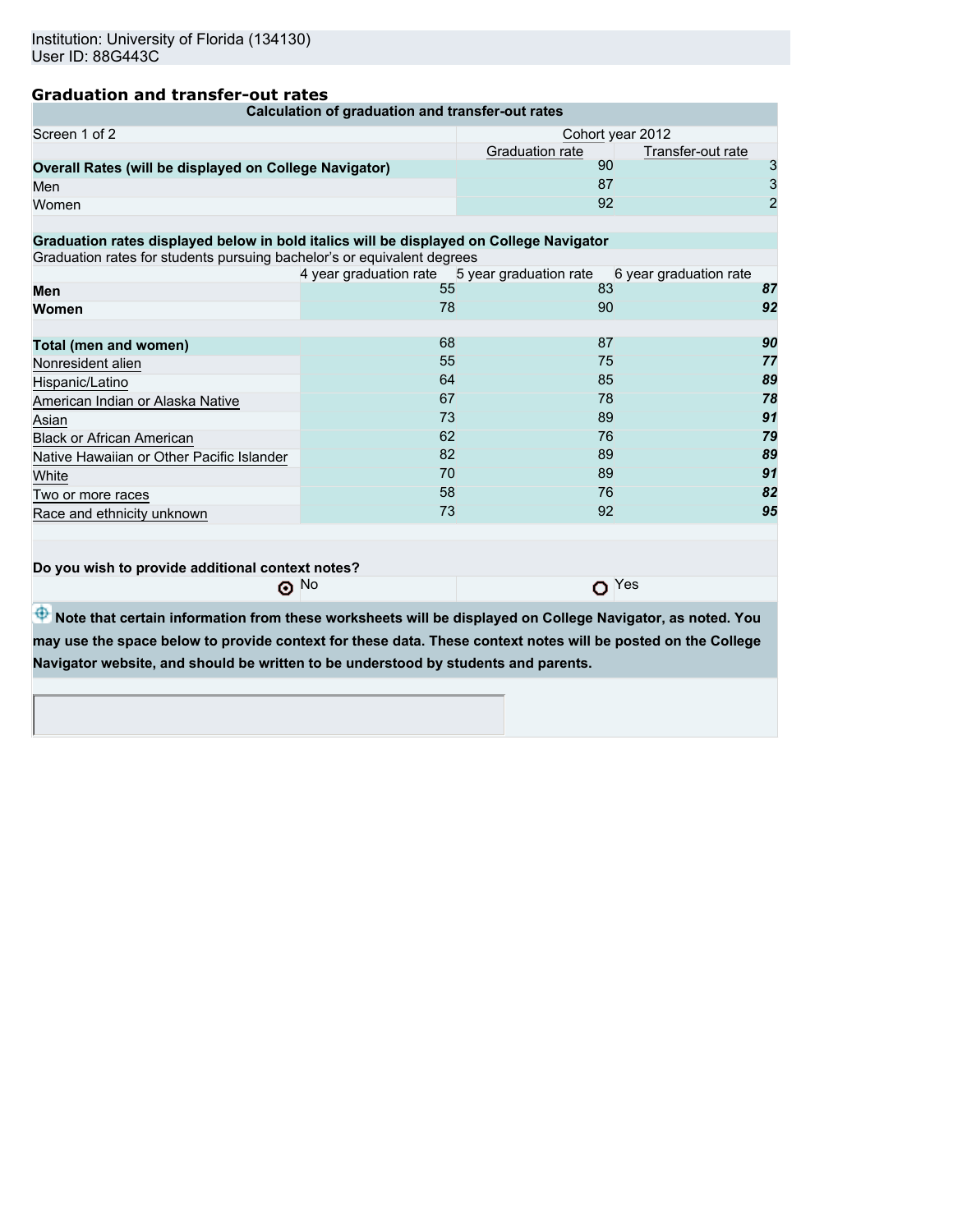# **Graduation and transfer-out rates**

| 31 augustus and cransici vac races                                                                           | Calculation of graduation and transfer-out rates |                                                                      |                   |
|--------------------------------------------------------------------------------------------------------------|--------------------------------------------------|----------------------------------------------------------------------|-------------------|
| Screen 1 of 2                                                                                                |                                                  |                                                                      | Cohort year 2012  |
|                                                                                                              |                                                  | Graduation rate                                                      | Transfer-out rate |
| Overall Rates (will be displayed on College Navigator)                                                       |                                                  | 90                                                                   | 3                 |
| Men                                                                                                          |                                                  | 87                                                                   | 3                 |
| Women                                                                                                        |                                                  | 92                                                                   | $\overline{2}$    |
|                                                                                                              |                                                  |                                                                      |                   |
| Graduation rates displayed below in bold italics will be displayed on College Navigator                      |                                                  |                                                                      |                   |
| Graduation rates for students pursuing bachelor's or equivalent degrees                                      |                                                  |                                                                      |                   |
|                                                                                                              |                                                  | 4 year graduation rate 5 year graduation rate 6 year graduation rate |                   |
| Men                                                                                                          | 55                                               | 83                                                                   | 87                |
| Women                                                                                                        | 78                                               | 90                                                                   | 92                |
|                                                                                                              |                                                  |                                                                      |                   |
| Total (men and women)                                                                                        | 68                                               | 87                                                                   | 90                |
| Nonresident alien                                                                                            | 55                                               | 75                                                                   | 77                |
| Hispanic/Latino                                                                                              | 64                                               | 85                                                                   | 89                |
| American Indian or Alaska Native                                                                             | 67                                               | 78                                                                   | 78                |
| Asian                                                                                                        | 73                                               | 89                                                                   | 91                |
| <b>Black or African American</b>                                                                             | 62                                               | 76                                                                   | 79                |
| Native Hawaiian or Other Pacific Islander                                                                    | 82                                               | 89                                                                   | 89                |
| White                                                                                                        | 70                                               | 89                                                                   | 91                |
| Two or more races                                                                                            | 58                                               | 76                                                                   | 82                |
| Race and ethnicity unknown                                                                                   | 73                                               | 92                                                                   | 95                |
|                                                                                                              |                                                  |                                                                      |                   |
|                                                                                                              |                                                  |                                                                      |                   |
| Do you wish to provide additional context notes?                                                             |                                                  |                                                                      |                   |
|                                                                                                              | $\odot$ No                                       |                                                                      | $O$ Yes           |
| Note that certain information from these worksheets will be displayed on College Navigator, as noted. You    |                                                  |                                                                      |                   |
| may use the space below to provide context for these data. These context notes will be posted on the College |                                                  |                                                                      |                   |
| Navigator website, and should be written to be understood by students and parents.                           |                                                  |                                                                      |                   |
|                                                                                                              |                                                  |                                                                      |                   |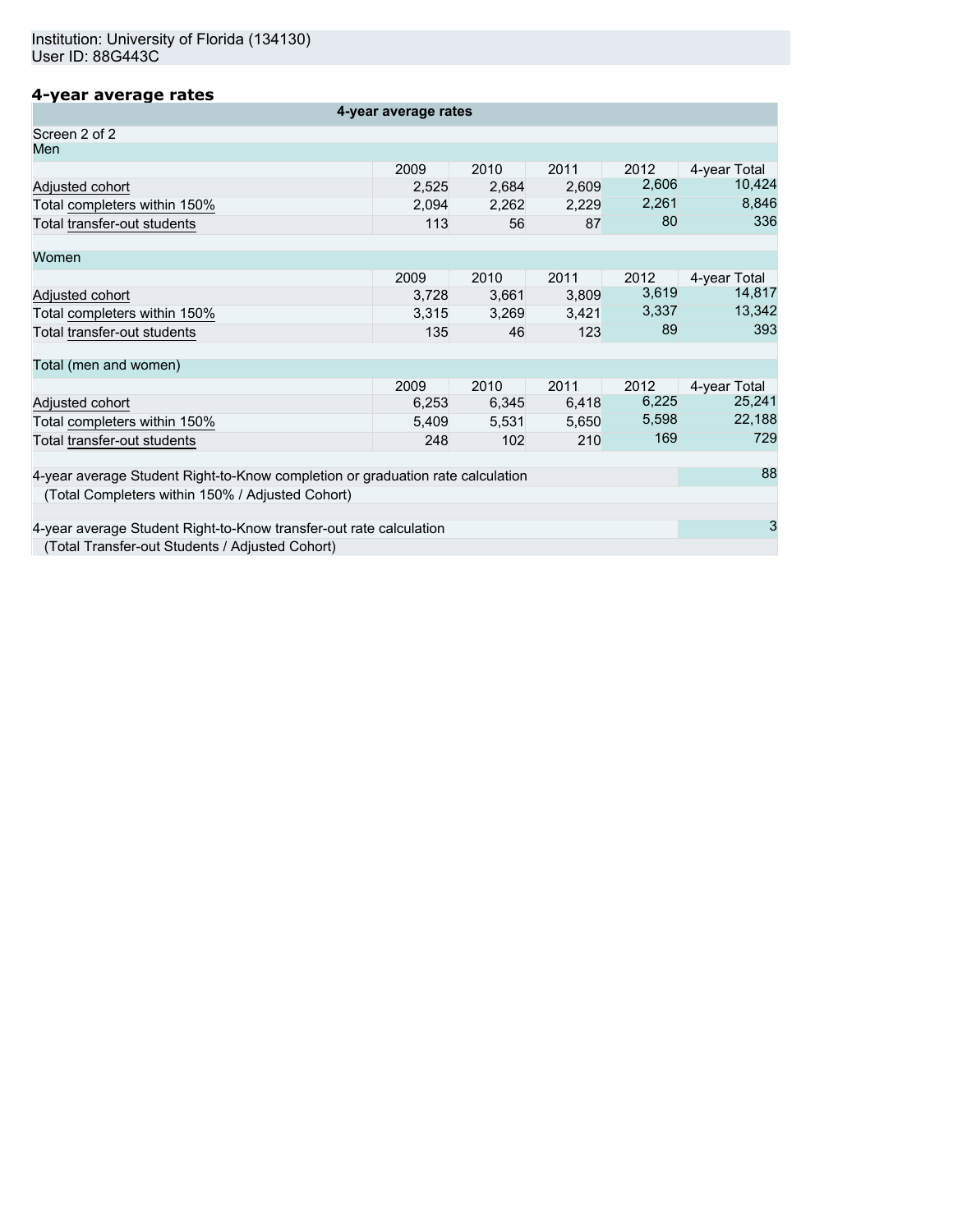# **4-year average rates**

| 4-year average rates                                                           |       |       |       |       |              |  |  |
|--------------------------------------------------------------------------------|-------|-------|-------|-------|--------------|--|--|
| Screen 2 of 2                                                                  |       |       |       |       |              |  |  |
| Men                                                                            |       |       |       |       |              |  |  |
|                                                                                | 2009  | 2010  | 2011  | 2012  | 4-year Total |  |  |
| Adjusted cohort                                                                | 2,525 | 2,684 | 2,609 | 2,606 | 10,424       |  |  |
| Total completers within 150%                                                   | 2,094 | 2,262 | 2,229 | 2,261 | 8,846        |  |  |
| Total transfer-out students                                                    | 113   | 56    | 87    | 80    | 336          |  |  |
| Women                                                                          |       |       |       |       |              |  |  |
|                                                                                | 2009  | 2010  | 2011  | 2012  | 4-year Total |  |  |
| Adjusted cohort                                                                | 3,728 | 3,661 | 3,809 | 3,619 | 14,817       |  |  |
| Total completers within 150%                                                   | 3,315 | 3,269 | 3,421 | 3,337 | 13,342       |  |  |
| Total transfer-out students                                                    | 135   | 46    | 123   | 89    | 393          |  |  |
| Total (men and women)                                                          |       |       |       |       |              |  |  |
|                                                                                | 2009  | 2010  | 2011  | 2012  | 4-year Total |  |  |
| Adjusted cohort                                                                | 6,253 | 6,345 | 6,418 | 6,225 | 25,241       |  |  |
| Total completers within 150%                                                   | 5,409 | 5,531 | 5,650 | 5,598 | 22,188       |  |  |
| Total transfer-out students                                                    | 248   | 102   | 210   | 169   | 729          |  |  |
| 4-year average Student Right-to-Know completion or graduation rate calculation |       |       |       |       | 88           |  |  |
| (Total Completers within 150% / Adjusted Cohort)                               |       |       |       |       |              |  |  |
|                                                                                |       |       |       |       |              |  |  |
| 4-year average Student Right-to-Know transfer-out rate calculation             |       |       |       |       | 3            |  |  |
| (Total Transfer-out Students / Adjusted Cohort)                                |       |       |       |       |              |  |  |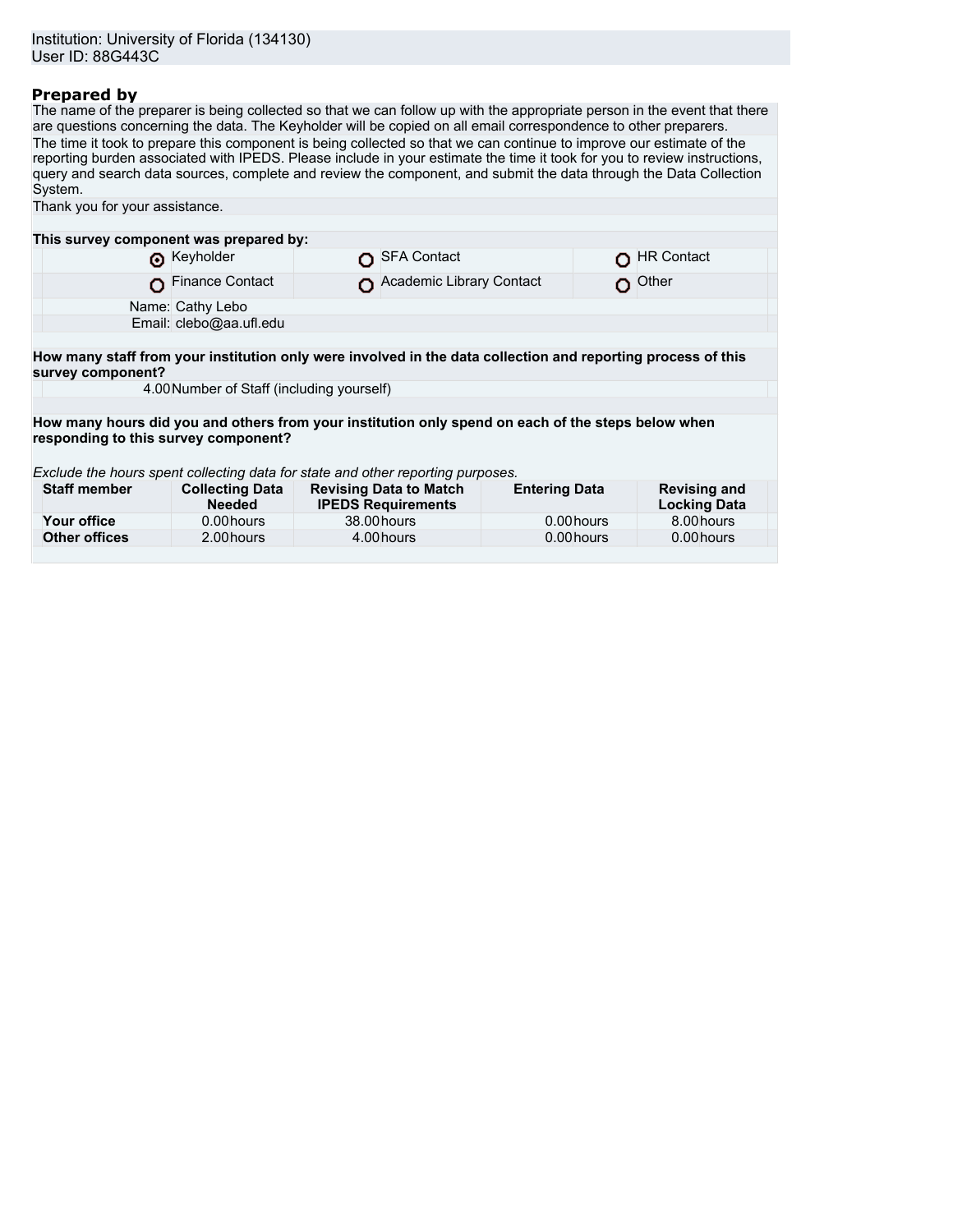# **Prepared by**

The name of the preparer is being collected so that we can follow up with the appropriate person in the event that there are questions concerning the data. The Keyholder will be copied on all email correspondence to other preparers. The time it took to prepare this component is being collected so that we can continue to improve our estimate of the reporting burden associated with IPEDS. Please include in your estimate the time it took for you to review instructions, query and search data sources, complete and review the component, and submit the data through the Data Collection System.

| Thank you for your assistance.                                                                                                    |                                           |                                                            |                      |   |                                            |
|-----------------------------------------------------------------------------------------------------------------------------------|-------------------------------------------|------------------------------------------------------------|----------------------|---|--------------------------------------------|
|                                                                                                                                   |                                           |                                                            |                      |   |                                            |
| This survey component was prepared by:                                                                                            |                                           |                                                            |                      |   |                                            |
|                                                                                                                                   | Reyholder                                 | <b>SFA Contact</b>                                         |                      |   | <b>HR Contact</b>                          |
|                                                                                                                                   | <b>Finance Contact</b>                    | Academic Library Contact                                   |                      | o | Other                                      |
|                                                                                                                                   | Name: Cathy Lebo                          |                                                            |                      |   |                                            |
|                                                                                                                                   | Email: clebo@aa.ufl.edu                   |                                                            |                      |   |                                            |
|                                                                                                                                   |                                           |                                                            |                      |   |                                            |
| How many staff from your institution only were involved in the data collection and reporting process of this<br>survey component? |                                           |                                                            |                      |   |                                            |
|                                                                                                                                   | 4.00 Number of Staff (including yourself) |                                                            |                      |   |                                            |
|                                                                                                                                   |                                           |                                                            |                      |   |                                            |
| How many hours did you and others from your institution only spend on each of the steps below when                                |                                           |                                                            |                      |   |                                            |
| responding to this survey component?                                                                                              |                                           |                                                            |                      |   |                                            |
|                                                                                                                                   |                                           |                                                            |                      |   |                                            |
| Exclude the hours spent collecting data for state and other reporting purposes.                                                   |                                           |                                                            |                      |   |                                            |
| <b>Staff member</b>                                                                                                               | <b>Collecting Data</b><br><b>Needed</b>   | <b>Revising Data to Match</b><br><b>IPEDS Requirements</b> | <b>Entering Data</b> |   | <b>Revising and</b><br><b>Locking Data</b> |
| Your office                                                                                                                       | 0.00 hours                                | 38.00 hours                                                | 0.00 hours           |   | 8.00 hours                                 |
| <b>Other offices</b>                                                                                                              | 2.00 hours                                | 4.00 hours                                                 | 0.00 hours           |   | 0.00 hours                                 |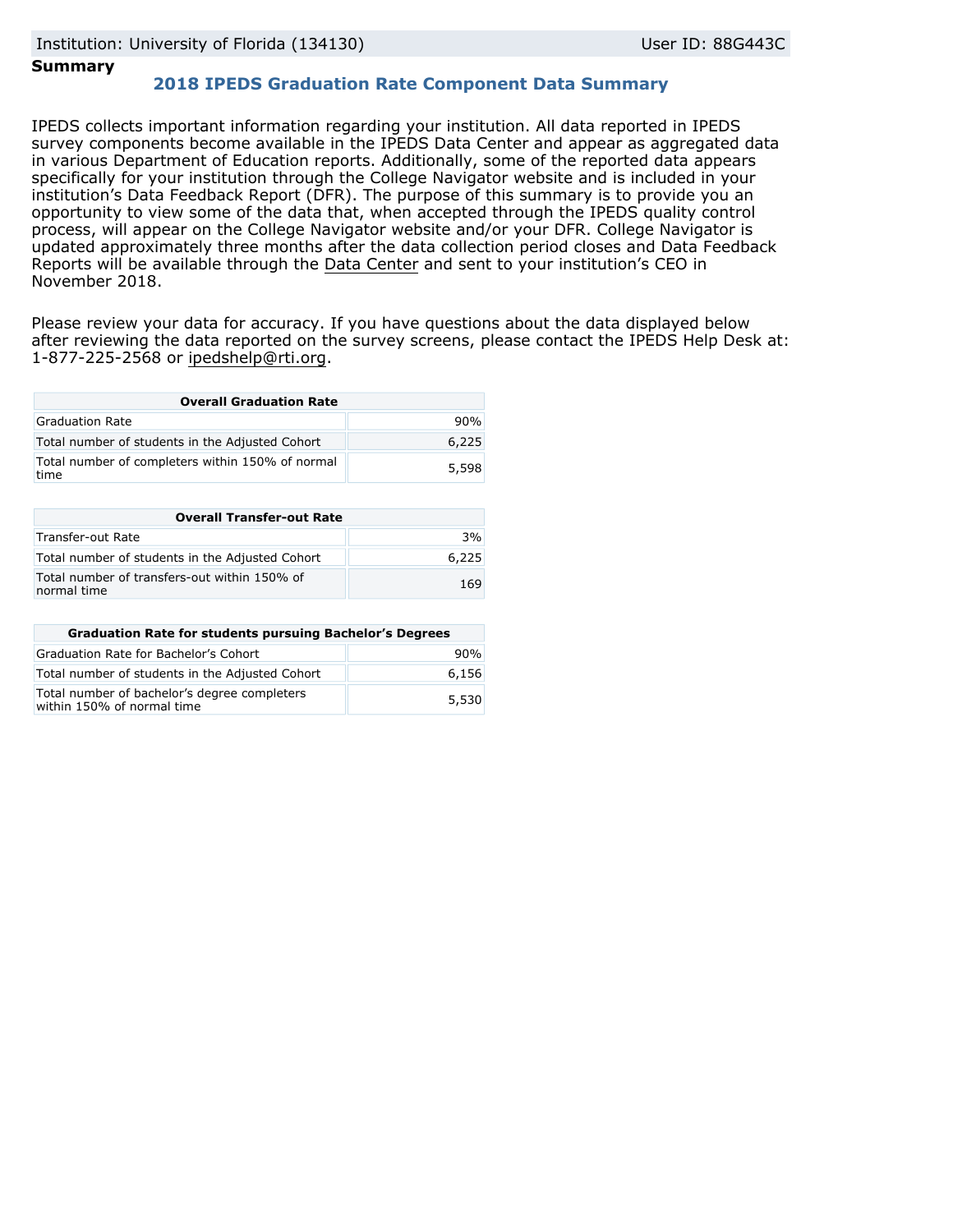# **Summary**

# **2018 IPEDS Graduation Rate Component Data Summary**

IPEDS collects important information regarding your institution. All data reported in IPEDS survey components become available in the IPEDS Data Center and appear as aggregated data in various Department of Education reports. Additionally, some of the reported data appears specifically for your institution through the College Navigator website and is included in your institution's Data Feedback Report (DFR). The purpose of this summary is to provide you an opportunity to view some of the data that, when accepted through the IPEDS quality control process, will appear on the College Navigator website and/or your DFR. College Navigator is updated approximately three months after the data collection period closes and Data Feedback Reports will be available through the [Data Center](https://nces.ed.gov/ipeds/use-the-data) and sent to your institution's CEO in November 2018.

Please review your data for accuracy. If you have questions about the data displayed below after reviewing the data reported on the survey screens, please contact the IPEDS Help Desk at: 1-877-225-2568 or ipedshelp@rti.org.

| <b>Overall Graduation Rate</b>                           |       |
|----------------------------------------------------------|-------|
| Graduation Rate                                          | 90%   |
| Total number of students in the Adjusted Cohort          | 6,225 |
| Total number of completers within 150% of normal<br>time | 5,598 |

| <b>Overall Transfer-out Rate</b>                            |       |
|-------------------------------------------------------------|-------|
| Transfer-out Rate                                           | 3%    |
| Total number of students in the Adjusted Cohort             | 6.225 |
| Total number of transfers-out within 150% of<br>normal time | 169   |

| <b>Graduation Rate for students pursuing Bachelor's Degrees</b>            |       |
|----------------------------------------------------------------------------|-------|
| Graduation Rate for Bachelor's Cohort                                      | 90%   |
| Total number of students in the Adjusted Cohort                            | 6,156 |
| Total number of bachelor's degree completers<br>within 150% of normal time | 5,530 |